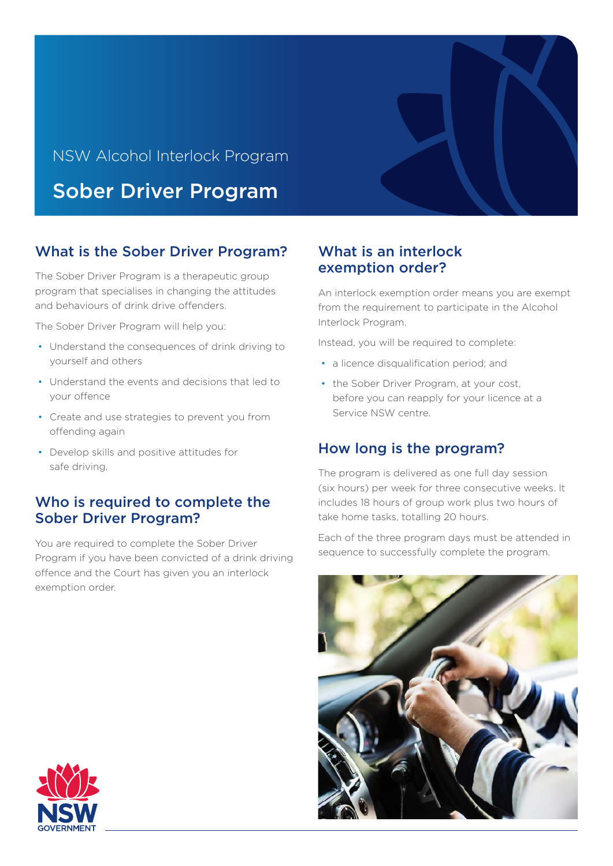# NSW Alcohol Interlock Program Sober Driver Program

# What is the Sober Driver Program?

The Sober Driver Program is a therapeutic group program that specialises in changing the attitudes and behaviours of drink drive offenders.

The Sober Driver Program will help you:

- Understand the consequences of drink driving to yourself and others
- Understand the events and decisions that led to your offence
- Create and use strategies to prevent you from offending again
- Develop skills and positive attitudes for safe driving.

#### Who is required to complete the Sober Driver Program?

You are required to complete the Sober Driver Program if you have been convicted of a drink driving offence and the Court has given you an interlock exemption order.

## What is an interlock exemption order?

An interlock exemption order means you are exempt from the requirement to participate in the Alcohol Interlock Program.

Instead, you will be required to complete:

- a licence disqualification period; and
- the Sober Driver Program, at your cost, before you can reapply for your licence at a Service NSW centre.

### How long is the program?

The program is delivered as one full day session (six hours) per week for three consecutive weeks. It includes 18 hours of group work plus two hours of take home tasks, totalling 20 hours.

Each of the three program days must be attended in sequence to successfully complete the program.



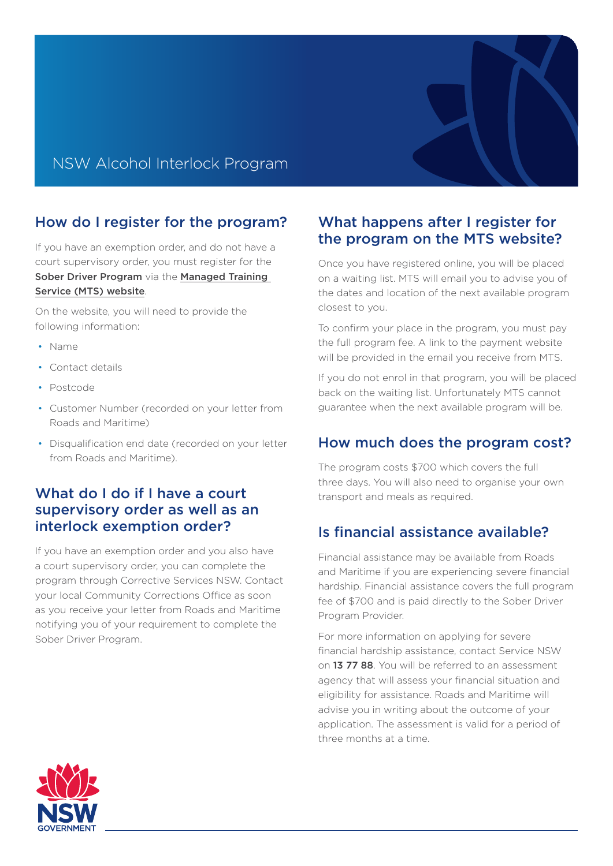# NSW Alcohol Interlock Program

## How do I register for the program?

If you have an exemption order, and do not have a court supervisory order, you must register for the Sober Driver Program via the Managed Training [Service \(MTS\) website](https://oep.chandlermacleod.com/SDP/SDP.asp).

On the website, you will need to provide the following information:

- Name
- Contact details
- Postcode
- Customer Number (recorded on your letter from Roads and Maritime)
- Disqualification end date (recorded on your letter from Roads and Maritime).

### What do I do if I have a court supervisory order as well as an interlock exemption order?

If you have an exemption order and you also have a court supervisory order, you can complete the program through Corrective Services NSW. Contact your local Community Corrections Office as soon as you receive your letter from Roads and Maritime notifying you of your requirement to complete the Sober Driver Program.

#### What happens after I register for the program on the MTS website?

Once you have registered online, you will be placed on a waiting list. MTS will email you to advise you of the dates and location of the next available program closest to you.

To confirm your place in the program, you must pay the full program fee. A link to the payment website will be provided in the email you receive from MTS.

If you do not enrol in that program, you will be placed back on the waiting list. Unfortunately MTS cannot guarantee when the next available program will be.

### How much does the program cost?

The program costs \$700 which covers the full three days. You will also need to organise your own transport and meals as required.

### Is financial assistance available?

Financial assistance may be available from Roads and Maritime if you are experiencing severe financial hardship. Financial assistance covers the full program fee of \$700 and is paid directly to the Sober Driver Program Provider.

For more information on applying for severe financial hardship assistance, contact Service NSW on 13 77 88. You will be referred to an assessment agency that will assess your financial situation and eligibility for assistance. Roads and Maritime will advise you in writing about the outcome of your application. The assessment is valid for a period of three months at a time.

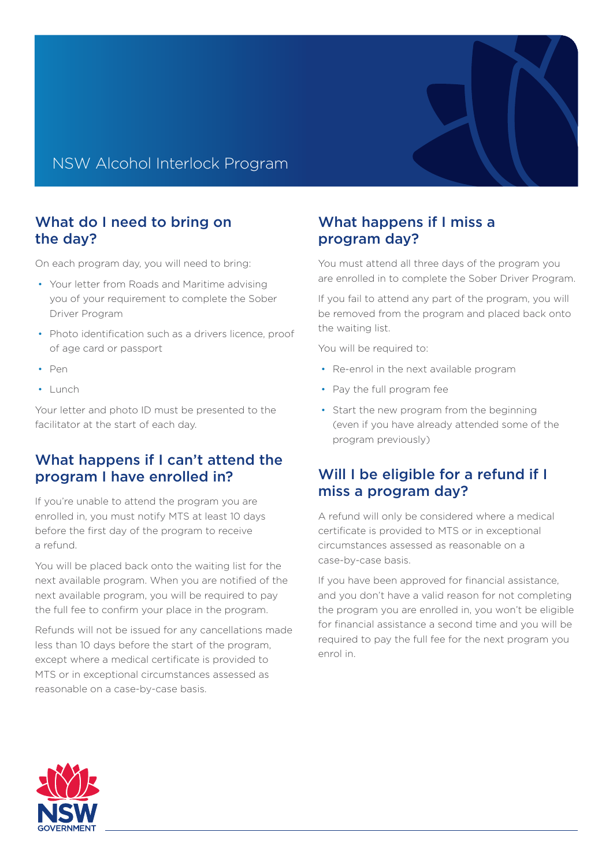## NSW Alcohol Interlock Program

#### What do I need to bring on the day?

On each program day, you will need to bring:

- Your letter from Roads and Maritime advising you of your requirement to complete the Sober Driver Program
- Photo identification such as a drivers licence, proof of age card or passport
- Pen
- Lunch

Your letter and photo ID must be presented to the facilitator at the start of each day.

#### What happens if I can't attend the program I have enrolled in?

If you're unable to attend the program you are enrolled in, you must notify MTS at least 10 days before the first day of the program to receive a refund.

You will be placed back onto the waiting list for the next available program. When you are notified of the next available program, you will be required to pay the full fee to confirm your place in the program.

Refunds will not be issued for any cancellations made less than 10 days before the start of the program, except where a medical certificate is provided to MTS or in exceptional circumstances assessed as reasonable on a case-by-case basis.

### What happens if I miss a program day?

You must attend all three days of the program you are enrolled in to complete the Sober Driver Program.

If you fail to attend any part of the program, you will be removed from the program and placed back onto the waiting list.

You will be required to:

- Re-enrol in the next available program
- Pay the full program fee
- Start the new program from the beginning (even if you have already attended some of the program previously)

### Will I be eligible for a refund if I miss a program day?

A refund will only be considered where a medical certificate is provided to MTS or in exceptional circumstances assessed as reasonable on a case-by-case basis.

If you have been approved for financial assistance, and you don't have a valid reason for not completing the program you are enrolled in, you won't be eligible for financial assistance a second time and you will be required to pay the full fee for the next program you enrol in.